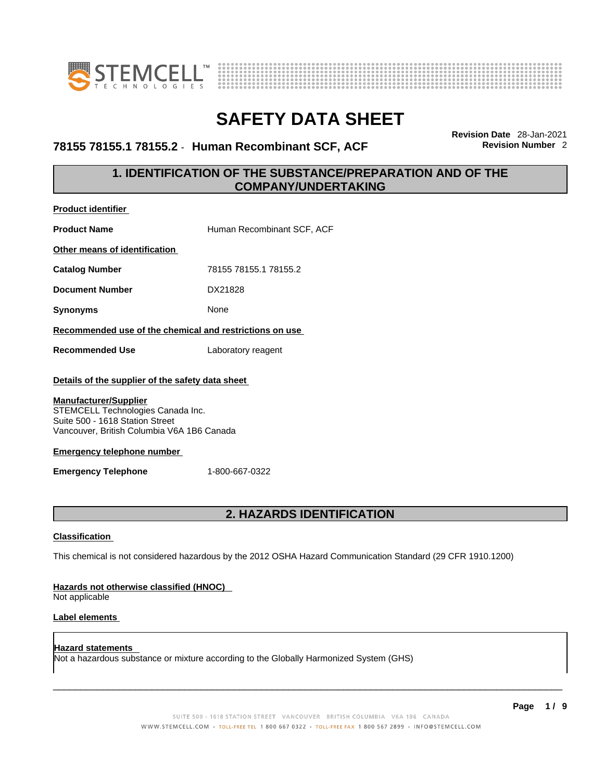



### **78155 78155.1 78155.2** - **Human Recombinant SCF, ACF Revision Number** 2

**Revision Date** 28-Jan-2021

### **1. IDENTIFICATION OF THE SUBSTANCE/PREPARATION AND OF THE COMPANY/UNDERTAKING**

| <b>Product identifier</b>                                                                                                                          |                            |  |  |
|----------------------------------------------------------------------------------------------------------------------------------------------------|----------------------------|--|--|
| <b>Product Name</b>                                                                                                                                | Human Recombinant SCF, ACF |  |  |
| Other means of identification                                                                                                                      |                            |  |  |
| <b>Catalog Number</b>                                                                                                                              | 78155 78155.1 78155.2      |  |  |
| <b>Document Number</b>                                                                                                                             | DX21828                    |  |  |
| <b>Synonyms</b>                                                                                                                                    | None                       |  |  |
| Recommended use of the chemical and restrictions on use                                                                                            |                            |  |  |
| <b>Recommended Use</b>                                                                                                                             | Laboratory reagent         |  |  |
| Details of the supplier of the safety data sheet                                                                                                   |                            |  |  |
| <b>Manufacturer/Supplier</b><br>STEMCELL Technologies Canada Inc.<br>Suite 500 - 1618 Station Street<br>Vancouver, British Columbia V6A 1B6 Canada |                            |  |  |
| Emergency telephone number                                                                                                                         |                            |  |  |
| <b>Emergency Telephone</b>                                                                                                                         | 1-800-667-0322             |  |  |

### **2. HAZARDS IDENTIFICATION**

### **Classification**

This chemical is not considered hazardous by the 2012 OSHA Hazard Communication Standard (29 CFR 1910.1200)

### **Hazards not otherwise classified (HNOC)**

Not applicable

### **Label elements**

**Hazard statements**  Not a hazardous substance or mixture according to the Globally Harmonized System (GHS)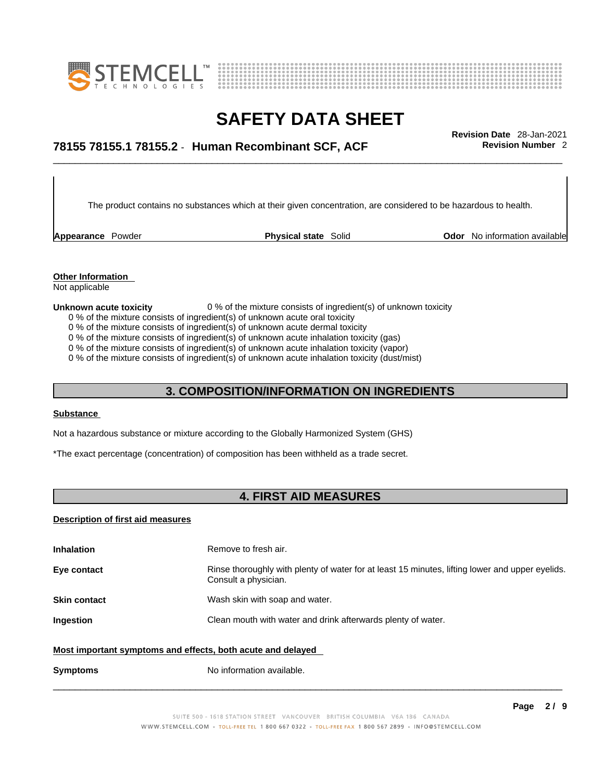



## \_\_\_\_\_\_\_\_\_\_\_\_\_\_\_\_\_\_\_\_\_\_\_\_\_\_\_\_\_\_\_\_\_\_\_\_\_\_\_\_\_\_\_\_\_\_\_\_\_\_\_\_\_\_\_\_\_\_\_\_\_\_\_\_\_\_\_\_\_\_\_\_\_\_\_\_\_\_\_\_\_\_\_\_\_\_\_\_\_\_\_\_\_ **Revision Date** 28-Jan-2021 **78155 78155.1 78155.2** - **Human Recombinant SCF, ACF Revision Number** 2

The product contains no substances which at their given concentration, are considered to be hazardous to health.

**Appearance** Powder **Physical state** Solid **Physical state Solid Physical state Solid Odor** No information available

**Other Information**  Not applicable

#### **Unknown acute toxicity** 0 % of the mixture consists of ingredient(s) of unknown toxicity

- 0 % of the mixture consists of ingredient(s) of unknown acute oral toxicity
- 0 % of the mixture consists of ingredient(s) of unknown acute dermal toxicity
- 0 % of the mixture consists of ingredient(s) of unknown acute inhalation toxicity (gas)
- 0 % of the mixture consists of ingredient(s) of unknown acute inhalation toxicity (vapor)

0 % of the mixture consists of ingredient(s) of unknown acute inhalation toxicity (dust/mist)

### **3. COMPOSITION/INFORMATION ON INGREDIENTS**

### **Substance**

Not a hazardous substance or mixture according to the Globally Harmonized System (GHS)

\*The exact percentage (concentration) of composition has been withheld as a trade secret.

### **4. FIRST AID MEASURES**

#### **Description of first aid measures**

| <b>Inhalation</b>                                                                                           | Remove to fresh air.                                                                                                    |  |
|-------------------------------------------------------------------------------------------------------------|-------------------------------------------------------------------------------------------------------------------------|--|
| Eye contact                                                                                                 | Rinse thoroughly with plenty of water for at least 15 minutes, lifting lower and upper eyelids.<br>Consult a physician. |  |
| <b>Skin contact</b>                                                                                         | Wash skin with soap and water.                                                                                          |  |
| Ingestion                                                                                                   | Clean mouth with water and drink afterwards plenty of water.                                                            |  |
| Most important symptoms and effects, both acute and delayed<br>No information available.<br><b>Symptoms</b> |                                                                                                                         |  |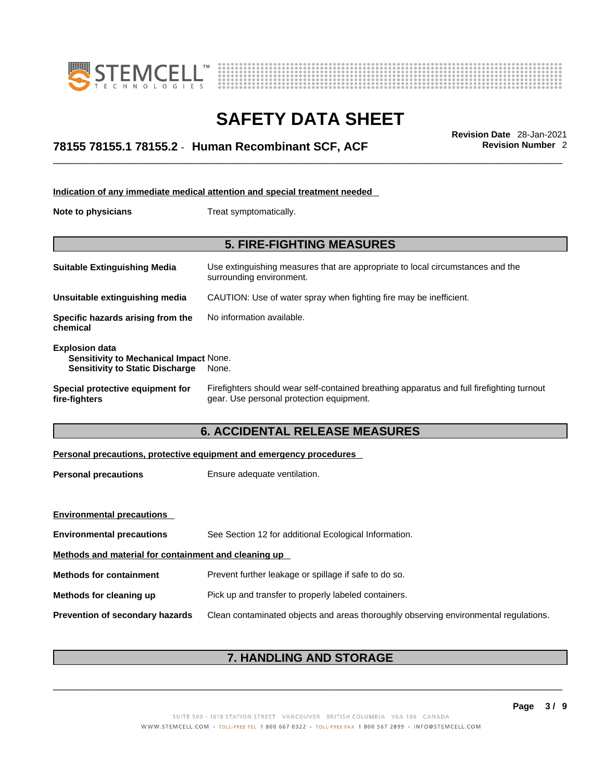



## \_\_\_\_\_\_\_\_\_\_\_\_\_\_\_\_\_\_\_\_\_\_\_\_\_\_\_\_\_\_\_\_\_\_\_\_\_\_\_\_\_\_\_\_\_\_\_\_\_\_\_\_\_\_\_\_\_\_\_\_\_\_\_\_\_\_\_\_\_\_\_\_\_\_\_\_\_\_\_\_\_\_\_\_\_\_\_\_\_\_\_\_\_ **Revision Date** 28-Jan-2021 **78155 78155.1 78155.2** - **Human Recombinant SCF, ACF Revision Number** 2

|                                                                                                                  | Indication of any immediate medical attention and special treatment needed                                                            |
|------------------------------------------------------------------------------------------------------------------|---------------------------------------------------------------------------------------------------------------------------------------|
| Note to physicians                                                                                               | Treat symptomatically.                                                                                                                |
|                                                                                                                  | <b>5. FIRE-FIGHTING MEASURES</b>                                                                                                      |
| <b>Suitable Extinguishing Media</b>                                                                              | Use extinguishing measures that are appropriate to local circumstances and the<br>surrounding environment.                            |
| Unsuitable extinguishing media                                                                                   | CAUTION: Use of water spray when fighting fire may be inefficient.                                                                    |
| Specific hazards arising from the<br>chemical                                                                    | No information available.                                                                                                             |
| <b>Explosion data</b><br><b>Sensitivity to Mechanical Impact None.</b><br><b>Sensitivity to Static Discharge</b> | None.                                                                                                                                 |
| Special protective equipment for<br>fire-fighters                                                                | Firefighters should wear self-contained breathing apparatus and full firefighting turnout<br>gear. Use personal protection equipment. |
|                                                                                                                  | <b>6. ACCIDENTAL RELEASE MEASURES</b>                                                                                                 |
|                                                                                                                  | Personal precautions, protective equipment and emergency procedures                                                                   |
| <b>Personal precautions</b>                                                                                      | Ensure adequate ventilation.                                                                                                          |
| <b>Environmental precautions</b>                                                                                 |                                                                                                                                       |

| <b>Litvil Officental Dividual District</b>           |                                                                                      |  |
|------------------------------------------------------|--------------------------------------------------------------------------------------|--|
| <b>Environmental precautions</b>                     | See Section 12 for additional Ecological Information.                                |  |
| Methods and material for containment and cleaning up |                                                                                      |  |
| <b>Methods for containment</b>                       | Prevent further leakage or spillage if safe to do so.                                |  |
| Methods for cleaning up                              | Pick up and transfer to properly labeled containers.                                 |  |
| <b>Prevention of secondary hazards</b>               | Clean contaminated objects and areas thoroughly observing environmental regulations. |  |

### **7. HANDLING AND STORAGE**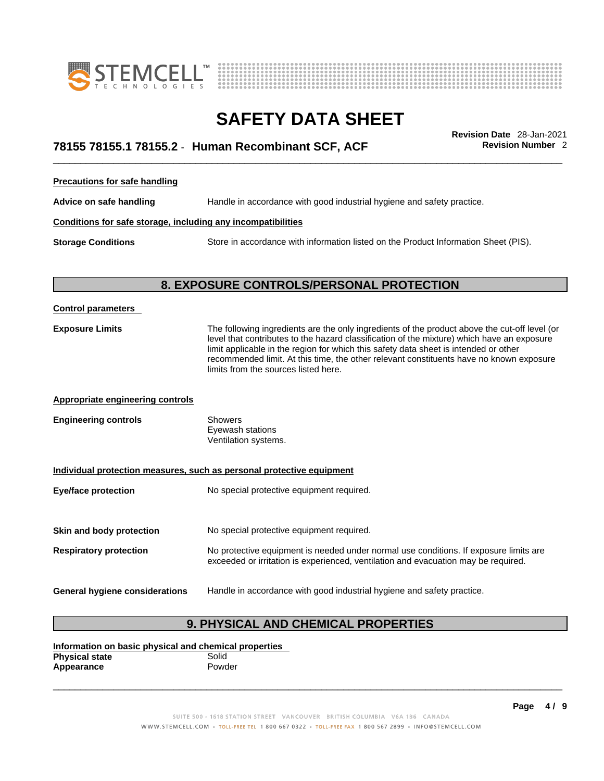



## \_\_\_\_\_\_\_\_\_\_\_\_\_\_\_\_\_\_\_\_\_\_\_\_\_\_\_\_\_\_\_\_\_\_\_\_\_\_\_\_\_\_\_\_\_\_\_\_\_\_\_\_\_\_\_\_\_\_\_\_\_\_\_\_\_\_\_\_\_\_\_\_\_\_\_\_\_\_\_\_\_\_\_\_\_\_\_\_\_\_\_\_\_ **Revision Date** 28-Jan-2021 **78155 78155.1 78155.2** - **Human Recombinant SCF, ACF Revision Number** 2

**Precautions for safe handling**

**Advice on safe handling** Handle in accordance with good industrial hygiene and safety practice.

### **Conditions for safe storage, including any incompatibilities**

**Storage Conditions** Store in accordance with information listed on the Product Information Sheet (PIS).

### **8. EXPOSURE CONTROLS/PERSONAL PROTECTION**

| <b>Control parameters</b>               |                                                                                                                                                                                                                                                                                                                                                                                                                        |
|-----------------------------------------|------------------------------------------------------------------------------------------------------------------------------------------------------------------------------------------------------------------------------------------------------------------------------------------------------------------------------------------------------------------------------------------------------------------------|
| <b>Exposure Limits</b>                  | The following ingredients are the only ingredients of the product above the cut-off level (or<br>level that contributes to the hazard classification of the mixture) which have an exposure<br>limit applicable in the region for which this safety data sheet is intended or other<br>recommended limit. At this time, the other relevant constituents have no known exposure<br>limits from the sources listed here. |
| <b>Appropriate engineering controls</b> |                                                                                                                                                                                                                                                                                                                                                                                                                        |
| <b>Engineering controls</b>             | <b>Showers</b><br>Eyewash stations<br>Ventilation systems.                                                                                                                                                                                                                                                                                                                                                             |
|                                         | Individual protection measures, such as personal protective equipment                                                                                                                                                                                                                                                                                                                                                  |
| <b>Eye/face protection</b>              | No special protective equipment required.                                                                                                                                                                                                                                                                                                                                                                              |
| Skin and body protection                | No special protective equipment required.                                                                                                                                                                                                                                                                                                                                                                              |
| <b>Respiratory protection</b>           | No protective equipment is needed under normal use conditions. If exposure limits are<br>exceeded or irritation is experienced, ventilation and evacuation may be required.                                                                                                                                                                                                                                            |
| General hygiene considerations          | Handle in accordance with good industrial hygiene and safety practice.                                                                                                                                                                                                                                                                                                                                                 |

### **9. PHYSICAL AND CHEMICAL PROPERTIES**

**Information on basic physical and chemical properties Physical state** Solid<br> **Appearance** Powder **Appearance**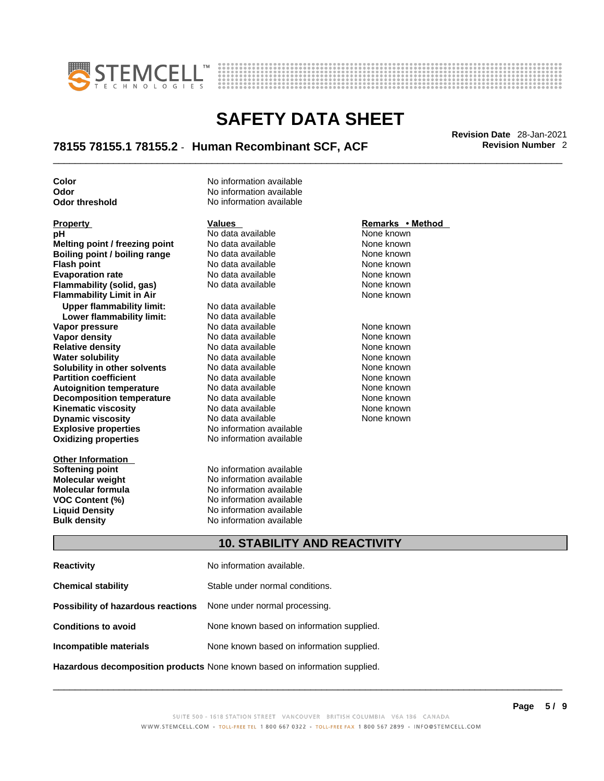



## \_\_\_\_\_\_\_\_\_\_\_\_\_\_\_\_\_\_\_\_\_\_\_\_\_\_\_\_\_\_\_\_\_\_\_\_\_\_\_\_\_\_\_\_\_\_\_\_\_\_\_\_\_\_\_\_\_\_\_\_\_\_\_\_\_\_\_\_\_\_\_\_\_\_\_\_\_\_\_\_\_\_\_\_\_\_\_\_\_\_\_\_\_ **Revision Date** 28-Jan-2021 **78155 78155.1 78155.2** - **Human Recombinant SCF, ACF Revision Number** 2

**Explosive properties** No information available<br> **Oxidizing properties** No information available **Property Malues Values Property Remarks •**<br> **pH** No data available None known<br>
Melting point / freezing point No data available None known **Melting point / freezing point** No data available None known<br> **Boiling point / boiling range** No data available None known **Boiling point / boiling range** No data available None known<br> **Flash noint** None known<br>
No data available None Known **Flash point**<br> **Flash point**<br> **Fvanoration rate** None Known<br>
No data available None Known<br>
None known **Evaporation rate Flammability (solid, gas)** No data available None Known None known **Flammability Limit in Air None known None known Upper flammability limit:** No data available **Lower flammability limit:** No data available **Vapor pressure** The Society No data available and the None known<br> **Vapor density** No data available None known **Vapor density** No data available None known **Relative density 1988 Control and Social Article Relative density None known<br>
<b>Water solubility** No data available None known **Water solubility Solubility in other solvents** No data available None known **Partition coefficient No data available None known Autoignition temperature** No data available None known<br> **Decomposition temperature** No data available None known **Decomposition temperature** No data available **None known**<br>
No data available **None known**<br>
None known **Kinematic viscosity** No data available<br> **Dynamic viscosity** No data available **Dynamic viscosity No data available None known** 

**Other Information** 

**Color Color No information available Odor** No information available **Odor threshold** No information available

**Softening point**<br> **Molecular weight**<br> **Molecular weight**<br> **Molecular weight**<br> **Molecular weight Molecular weight Molecular is a structure of the No information available Molecular formula Molecular System Molecular formula** No information available **VOC Content (%)** No information available **Liquid Density** No information available **Bulk density No information available** 

**No information available** 

#### **Property Remarks •** Method **Values Remarks** •**Method**

### **10. STABILITY AND REACTIVITY**

| <b>Reactivity</b>                                                       | No information available.                 |
|-------------------------------------------------------------------------|-------------------------------------------|
| <b>Chemical stability</b>                                               | Stable under normal conditions.           |
| <b>Possibility of hazardous reactions</b> None under normal processing. |                                           |
| <b>Conditions to avoid</b>                                              | None known based on information supplied. |
| Incompatible materials                                                  | None known based on information supplied. |
|                                                                         |                                           |

**Hazardous decomposition products** None known based on information supplied.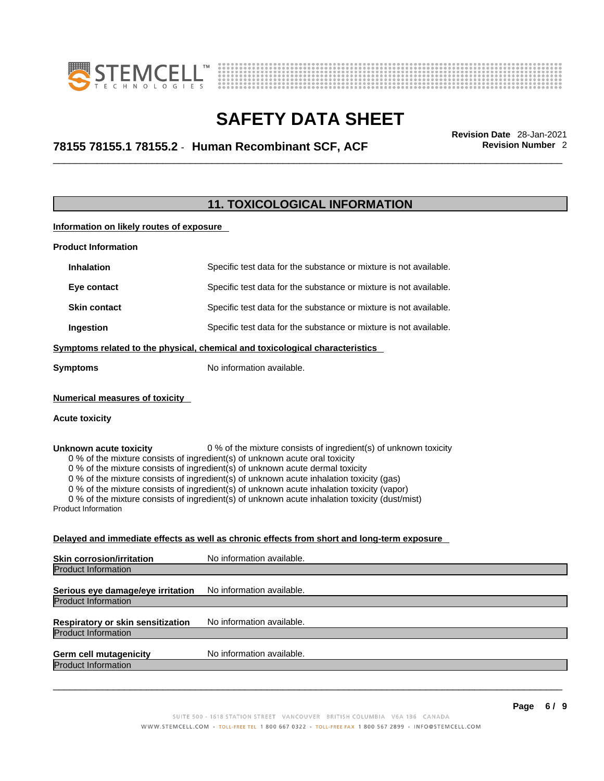



## \_\_\_\_\_\_\_\_\_\_\_\_\_\_\_\_\_\_\_\_\_\_\_\_\_\_\_\_\_\_\_\_\_\_\_\_\_\_\_\_\_\_\_\_\_\_\_\_\_\_\_\_\_\_\_\_\_\_\_\_\_\_\_\_\_\_\_\_\_\_\_\_\_\_\_\_\_\_\_\_\_\_\_\_\_\_\_\_\_\_\_\_\_ **Revision Date** 28-Jan-2021 **78155 78155.1 78155.2** - **Human Recombinant SCF, ACF Revision Number** 2

### **11. TOXICOLOGICAL INFORMATION**

**Information on likely routes of exposure**

| <b>Product Information</b> |                                                                   |
|----------------------------|-------------------------------------------------------------------|
| <b>Inhalation</b>          | Specific test data for the substance or mixture is not available. |
| Eye contact                | Specific test data for the substance or mixture is not available. |
| <b>Skin contact</b>        | Specific test data for the substance or mixture is not available. |
| Ingestion                  | Specific test data for the substance or mixture is not available. |
|                            |                                                                   |

**Symptoms related to the physical,chemical and toxicological characteristics**

**Symptoms** No information available.

#### **Numerical measures of toxicity**

#### **Acute toxicity**

**Unknown acute toxicity** 0 % of the mixture consists of ingredient(s) of unknown toxicity

0 % of the mixture consists of ingredient(s) of unknown acute oral toxicity

0 % of the mixture consists of ingredient(s) of unknown acute dermal toxicity

0 % of the mixture consists of ingredient(s) of unknown acute inhalation toxicity (gas)

0 % of the mixture consists of ingredient(s) of unknown acute inhalation toxicity (vapor)

0 % of the mixture consists of ingredient(s) of unknown acute inhalation toxicity (dust/mist)

Product Information

#### **Delayed and immediate effects as well as chronic effects from short and long-term exposure**

| <b>Skin corrosion/irritation</b>                                       | No information available. |
|------------------------------------------------------------------------|---------------------------|
| <b>Product Information</b>                                             |                           |
| Serious eye damage/eye irritation                                      | No information available. |
| <b>Product Information</b>                                             |                           |
| <b>Respiratory or skin sensitization</b><br><b>Product Information</b> | No information available. |
|                                                                        |                           |
| <b>Germ cell mutagenicity</b><br><b>Product Information</b>            | No information available. |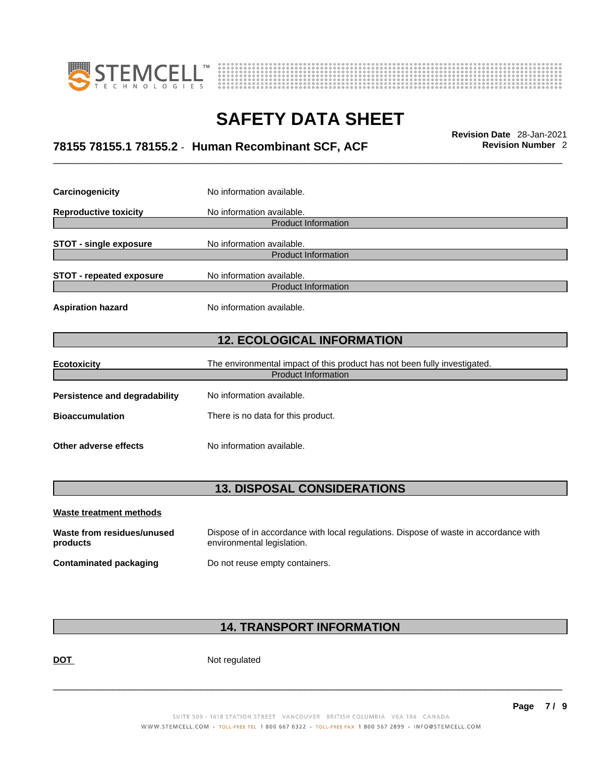



## \_\_\_\_\_\_\_\_\_\_\_\_\_\_\_\_\_\_\_\_\_\_\_\_\_\_\_\_\_\_\_\_\_\_\_\_\_\_\_\_\_\_\_\_\_\_\_\_\_\_\_\_\_\_\_\_\_\_\_\_\_\_\_\_\_\_\_\_\_\_\_\_\_\_\_\_\_\_\_\_\_\_\_\_\_\_\_\_\_\_\_\_\_ **Revision Date** 28-Jan-2021 **78155 78155.1 78155.2** - **Human Recombinant SCF, ACF Revision Number** 2

| Carcinogenicity                 | No information available.                                                 |  |
|---------------------------------|---------------------------------------------------------------------------|--|
| <b>Reproductive toxicity</b>    | No information available.                                                 |  |
|                                 | <b>Product Information</b>                                                |  |
| <b>STOT - single exposure</b>   | No information available.                                                 |  |
|                                 | <b>Product Information</b>                                                |  |
| <b>STOT - repeated exposure</b> | No information available.                                                 |  |
|                                 | <b>Product Information</b>                                                |  |
| <b>Aspiration hazard</b>        | No information available.                                                 |  |
|                                 |                                                                           |  |
|                                 | <b>12. ECOLOGICAL INFORMATION</b>                                         |  |
|                                 |                                                                           |  |
| <b>Ecotoxicity</b>              | The environmental impact of this product has not been fully investigated. |  |
| <b>Product Information</b>      |                                                                           |  |
| Persistence and degradability   | No information available.                                                 |  |
| <b>Bioaccumulation</b>          | There is no data for this product.                                        |  |
| Other adverse effects           | No information available.                                                 |  |

### **13. DISPOSAL CONSIDERATIONS**

| Waste treatment methods                |                                                                                                                    |
|----------------------------------------|--------------------------------------------------------------------------------------------------------------------|
| Waste from residues/unused<br>products | Dispose of in accordance with local regulations. Dispose of waste in accordance with<br>environmental legislation. |
| <b>Contaminated packaging</b>          | Do not reuse empty containers.                                                                                     |

### **14. TRANSPORT INFORMATION**

DOT Not regulated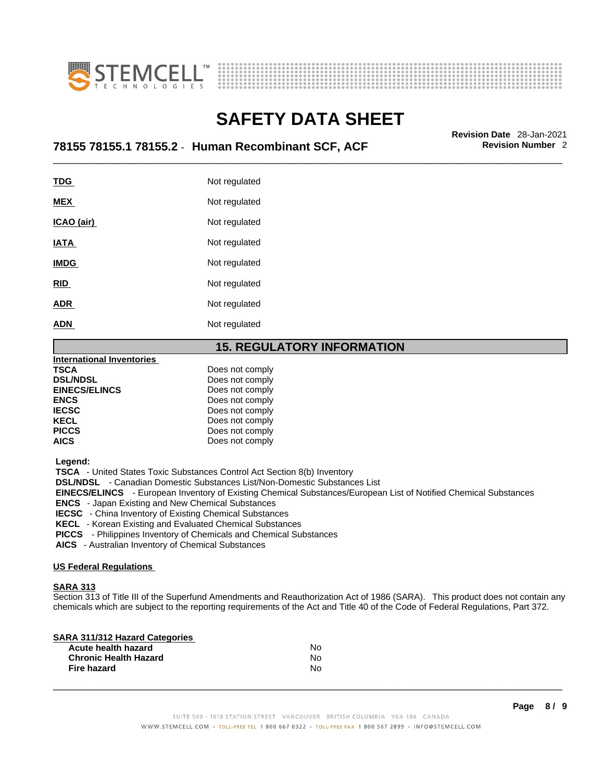



## \_\_\_\_\_\_\_\_\_\_\_\_\_\_\_\_\_\_\_\_\_\_\_\_\_\_\_\_\_\_\_\_\_\_\_\_\_\_\_\_\_\_\_\_\_\_\_\_\_\_\_\_\_\_\_\_\_\_\_\_\_\_\_\_\_\_\_\_\_\_\_\_\_\_\_\_\_\_\_\_\_\_\_\_\_\_\_\_\_\_\_\_\_ **Revision Date** 28-Jan-2021 **78155 78155.1 78155.2** - **Human Recombinant SCF, ACF Revision Number** 2

| <u>TDG</u>  | Not regulated |
|-------------|---------------|
| <b>MEX</b>  | Not regulated |
| ICAO (air)  | Not regulated |
| <b>IATA</b> | Not regulated |
| <b>IMDG</b> | Not regulated |
| <b>RID</b>  | Not regulated |
| <b>ADR</b>  | Not regulated |
| <b>ADN</b>  | Not regulated |
|             |               |

### **15. REGULATORY INFORMATION**

| <b>International Inventories</b> |                 |  |
|----------------------------------|-----------------|--|
| TSCA                             | Does not comply |  |
| <b>DSL/NDSL</b>                  | Does not comply |  |
| <b>EINECS/ELINCS</b>             | Does not comply |  |
| <b>ENCS</b>                      | Does not comply |  |
| <b>IECSC</b>                     | Does not comply |  |
| <b>KECL</b>                      | Does not comply |  |
| <b>PICCS</b>                     | Does not comply |  |
| AICS                             | Does not comply |  |

 **Legend:** 

 **TSCA** - United States Toxic Substances Control Act Section 8(b) Inventory

 **DSL/NDSL** - Canadian Domestic Substances List/Non-Domestic Substances List

 **EINECS/ELINCS** - European Inventory of Existing Chemical Substances/European List of Notified Chemical Substances

 **ENCS** - Japan Existing and New Chemical Substances

 **IECSC** - China Inventory of Existing Chemical Substances

 **KECL** - Korean Existing and Evaluated Chemical Substances

 **PICCS** - Philippines Inventory of Chemicals and Chemical Substances

 **AICS** - Australian Inventory of Chemical Substances

#### **US Federal Regulations**

#### **SARA 313**

Section 313 of Title III of the Superfund Amendments and Reauthorization Act of 1986 (SARA). This product does not contain any chemicals which are subject to the reporting requirements of the Act and Title 40 of the Code of Federal Regulations, Part 372.

| N٥ |  |
|----|--|
| N٥ |  |
| N٥ |  |
|    |  |